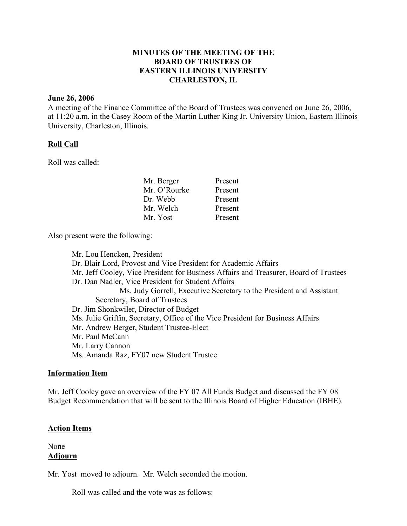# **MINUTES OF THE MEETING OF THE BOARD OF TRUSTEES OF EASTERN ILLINOIS UNIVERSITY CHARLESTON, IL**

#### **June 26, 2006**

A meeting of the Finance Committee of the Board of Trustees was convened on June 26, 2006, at 11:20 a.m. in the Casey Room of the Martin Luther King Jr. University Union, Eastern Illinois University, Charleston, Illinois.

## **Roll Call**

Roll was called:

| Mr. Berger   | Present |
|--------------|---------|
| Mr. O'Rourke | Present |
| Dr. Webb     | Present |
| Mr. Welch    | Present |
| Mr. Yost     | Present |

Also present were the following:

Mr. Lou Hencken, President Dr. Blair Lord, Provost and Vice President for Academic Affairs Mr. Jeff Cooley, Vice President for Business Affairs and Treasurer, Board of Trustees Dr. Dan Nadler, Vice President for Student Affairs Ms. Judy Gorrell, Executive Secretary to the President and Assistant Secretary, Board of Trustees Dr. Jim Shonkwiler, Director of Budget Ms. Julie Griffin, Secretary, Office of the Vice President for Business Affairs Mr. Andrew Berger, Student Trustee-Elect Mr. Paul McCann Mr. Larry Cannon Ms. Amanda Raz, FY07 new Student Trustee

#### **Information Item**

Mr. Jeff Cooley gave an overview of the FY 07 All Funds Budget and discussed the FY 08 Budget Recommendation that will be sent to the Illinois Board of Higher Education (IBHE).

## **Action Items**

None **Adjourn**

Mr. Yost moved to adjourn. Mr. Welch seconded the motion.

Roll was called and the vote was as follows: